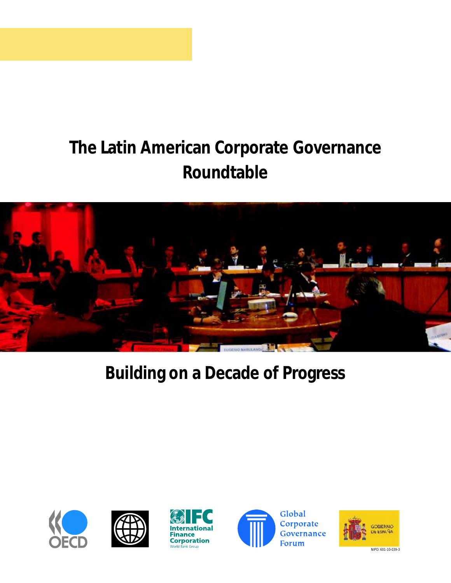# **The Latin American Corporate Governance Roundtable**



# **Building on a Decade of Progress**









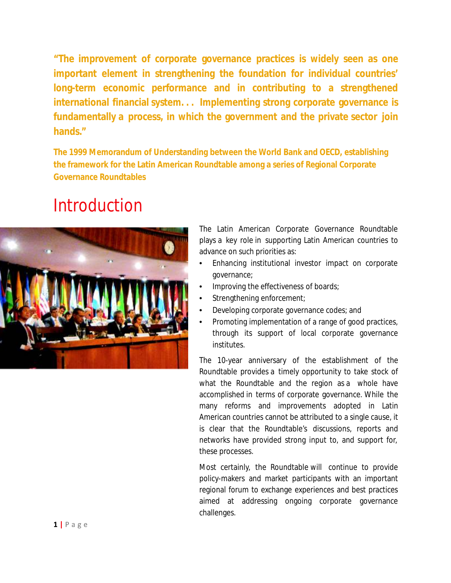**"The improvement of corporate governance practices is widely seen as one important element in strengthening the foundation for individual countries' long-term economic performance and in contributing to a strengthened international financial system. . . Implementing strong corporate governance is fundamentally a process, in which the government and the private sector join hands."**

**The 1999 Memorandum of Understanding between the World Bank and OECD, establishing the framework for the Latin American Roundtable among a series of Regional Corporate Governance Roundtables**

## Introduction



The Latin American Corporate Governance Roundtable plays a key role in supporting Latin American countries to advance on such priorities as:

- Enhancing institutional investor impact on corporate governance;
- Improving the effectiveness of boards;
- Strengthening enforcement;
- Developing corporate governance codes; and
- Promoting implementation of a range of good practices, through its support of local corporate governance institutes.

The 10-year anniversary of the establishment of the Roundtable provides a timely opportunity to take stock of what the Roundtable and the region as a whole have accomplished in terms of corporate governance. While the many reforms and improvements adopted in Latin American countries cannot be attributed to a single cause, it is clear that the Roundtable's discussions, reports and networks have provided strong input to, and support for, these processes.

Most certainly, the Roundtable will continue to provide policy-makers and market participants with an important regional forum to exchange experiences and best practices aimed at addressing ongoing corporate governance challenges.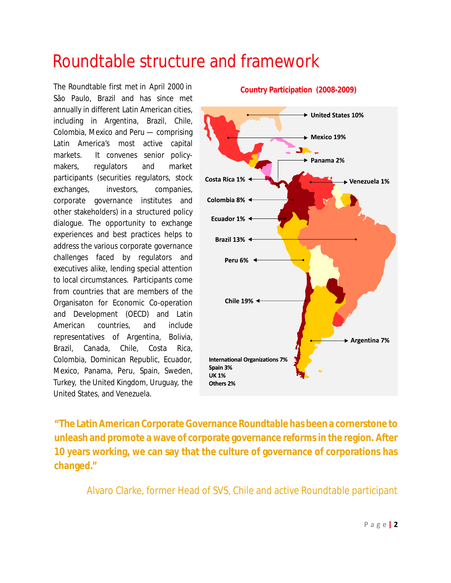## Roundtable structure and framework

The Roundtable first met in April 2000 in São Paulo, Brazil and has since met annually in different Latin American cities, including in Argentina, Brazil, Chile, Colombia, Mexico and Peru — comprising Latin America's most active capital markets. It convenes senior policymakers, regulators and market participants (securities regulators, stock exchanges, investors, companies, corporate governance institutes and other stakeholders) in a structured policy dialogue. The opportunity to exchange experiences and best practices helps to address the various corporate governance challenges faced by regulators and executives alike, lending special attention to local circumstances. Participants come from countries that are members of the Organisaton for Economic Co-operation and Development (OECD) and Latin American countries, and include representatives of Argentina, Bolivia, Brazil, Canada, Chile, Costa Rica, Colombia, Dominican Republic, Ecuador, Mexico, Panama, Peru, Spain, Sweden, Turkey, the United Kingdom, Uruguay, the United States, and Venezuela.

## United States 10%  $\blacktriangleright$  Mexico 19% Panama 2% Costa Rica 1% Venezuela 1% Colombia 8% < Ecuador 1%  $\triangleleft$ Brazil 13%  $\triangleleft$ Peru 6% < Chile 19% < ▶ Argentina 7% **International Organizations 7%** Spain 3% **UK 1%** Others 2%

**Country Participation (2008-2009)**

**"The Latin American Corporate Governance Roundtable has been a cornerstone to unleash and promote a wave of corporate governance reforms in the region. After 10 years working, we can say that the culture of governance of corporations has changed."**

Alvaro Clarke, former Head of SVS, Chile and active Roundtable participant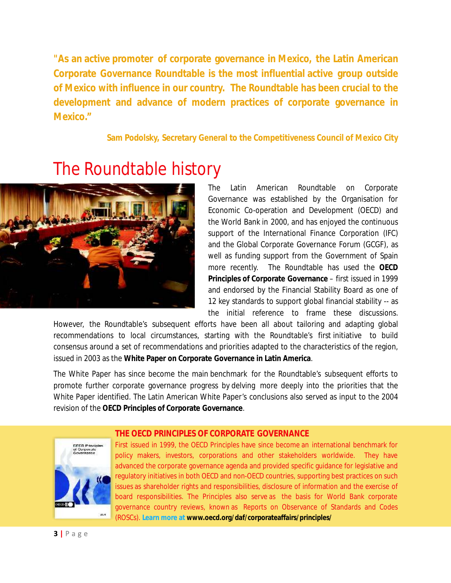**"As an active promoter of corporate governance in Mexico, the Latin American Corporate Governance Roundtable is the most influential active group outside of Mexico with influence in our country. The Roundtable has been crucial to the development and advance of modern practices of corporate governance in Mexico."**

**Sam Podolsky, Secretary General to the Competitiveness Council of Mexico City**



## The Roundtable history

The Latin American Roundtable on Corporate Governance was established by the Organisation for Economic Co-operation and Development (OECD) and the World Bank in 2000, and has enjoyed the continuous support of the International Finance Corporation (IFC) and the Global Corporate Governance Forum (GCGF), as well as funding support from the Government of Spain more recently. The Roundtable has used the **OECD Principles of Corporate Governance** – first issued in 1999 and endorsed by the Financial Stability Board as one of 12 key standards to support global financial stability -- as the initial reference to frame these discussions.

However, the Roundtable's subsequent efforts have been all about tailoring and adapting global recommendations to local circumstances, starting with the Roundtable's first initiative to build consensus around a set of recommendations and priorities adapted to the characteristics of the region, issued in 2003 as the **White Paper on Corporate Governance in Latin America**.

The White Paper has since become the main benchmark for the Roundtable's subsequent efforts to promote further corporate governance progress by delving more deeply into the priorities that the White Paper identified. The Latin American White Paper's conclusions also served as input to the 2004 revision of the **OECD Principles of Corporate Governance**.



## **THE OECD PRINCIPLES OF CORPORATE GOVERNANCE**

First issued in 1999, the OECD Principles have since become an international benchmark for policy makers, investors, corporations and other stakeholders worldwide. They have advanced the corporate governance agenda and provided specific guidance for legislative and regulatory initiatives in both OECD and non-OECD countries, supporting best practices on such issues as shareholder rights and responsibilities, disclosure of information and the exercise of board responsibilities. The Principles also serve as the basis for World Bank corporate governance country reviews, known as Reports on Observance of Standards and Codes (ROSCs). **Learn more at www.oecd.org/daf/corporateaffairs/principles/**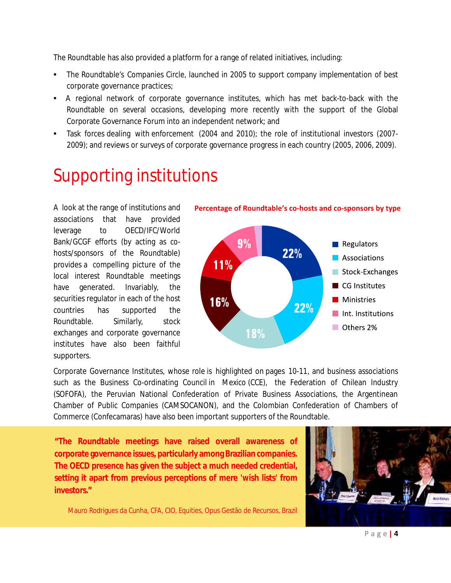The Roundtable has also provided a platform for a range of related initiatives, including:

- The Roundtable's Companies Circle, launched in 2005 to support company implementation of best corporate governance practices;
- A regional network of corporate governance institutes, which has met back-to-back with the Roundtable on several occasions, developing more recently with the support of the Global Corporate Governance Forum into an independent network; and
- Task forces dealing with enforcement (2004 and 2010); the role of institutional investors (2007- 2009); and reviews or surveys of corporate governance progress in each country (2005, 2006, 2009).

## Supporting institutions

A look at the range of institutions and associations that have provided leverage to OECD/IFC/World Bank/GCGF efforts (by acting as cohosts/sponsors of the Roundtable) provides a compelling picture of the local interest Roundtable meetings have generated. Invariably, the securities regulator in each of the host countries has supported the Roundtable. Similarly, stock exchanges and corporate governance institutes have also been faithful supporters.





Corporate Governance Institutes, whose role is highlighted on pages 10-11, and business associations such as the Business Co-ordinating Council in Mexico (CCE), the Federation of Chilean Industry (SOFOFA), the Peruvian National Confederation of Private Business Associations, the Argentinean Chamber of Public Companies (CAMSOCANON), and the Colombian Confederation of Chambers of Commerce (Confecamaras) have also been important supporters of the Roundtable.

**"The Roundtable meetings have raised overall awareness of corporate governance issues, particularly among Brazilian companies. The OECD presence has given the subject a much needed credential, setting it apart from previous perceptions of mere 'wish lists' from investors."**

Mauro Rodrigues da Cunha, CFA, CIO, Equities, Opus Gestão de Recursos, Brazil



Page |  $4$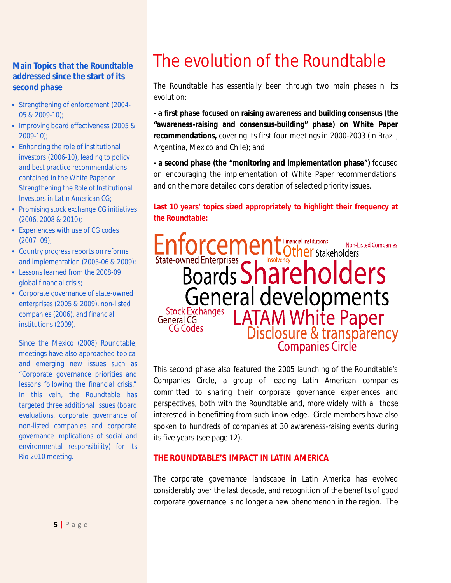## **Main Topics that the Roundtable addressed since the start of its second phase**

- Strengthening of enforcement (2004- 05 & 2009-10);
- Improving board effectiveness (2005 & 2009-10);
- Enhancing the role of institutional investors (2006-10), leading to policy and best practice recommendations contained in the *White Paper on Strengthening the Role of Institutional Investors in Latin American CG*;
- Promising stock exchange CG initiatives (2006, 2008 & 2010);
- Experiences with use of CG codes (2007- 09);
- Country progress reports on reforms and implementation (2005-06 & 2009);
- Lessons learned from the 2008-09 global financial crisis;
- Corporate governance of state-owned enterprises (2005 & 2009), non-listed companies (2006), and financial institutions (2009).

Since the Mexico (2008) Roundtable, meetings have also approached topical and emerging new issues such as "Corporate governance priorities and lessons following the financial crisis." In this vein, the Roundtable has targeted three additional issues (board evaluations, corporate governance of non-listed companies and corporate governance implications of social and environmental responsibility) for its Rio 2010 meeting.

# The evolution of the Roundtable

The Roundtable has essentially been through two main phases in its evolution:

**- a first phase focused on raising awareness and building consensus (the "awareness-raising and consensus-building" phase) on White Paper recommendations,** covering its first four meetings in 2000-2003 (in Brazil, Argentina, Mexico and Chile); and

**- a second phase (the "monitoring and implementation phase")** focused on encouraging the implementation of White Paper recommendations and on the more detailed consideration of selected priority issues.

#### **Last 10 years' topics sized appropriately to highlight their frequency at the Roundtable:**

Enforcement Cther Stakeholders Non-Listed Companies State-owned Enterprises Shareholders<br>Boards Shareholders General developments **Stock Exchanges** General CG **CG Codes** 

This second phase also featured the 2005 launching of the Roundtable's Companies Circle, a group of leading Latin American companies committed to sharing their corporate governance experiences and perspectives, both with the Roundtable and, more widely with all those interested in benefitting from such knowledge. Circle members have also spoken to hundreds of companies at 30 awareness-raising events during its five years (see page 12).

#### **THE ROUNDTABLE'S IMPACT IN LATIN AMERICA**

The corporate governance landscape in Latin America has evolved considerably over the last decade, and recognition of the benefits of good corporate governance is no longer a new phenomenon in the region. The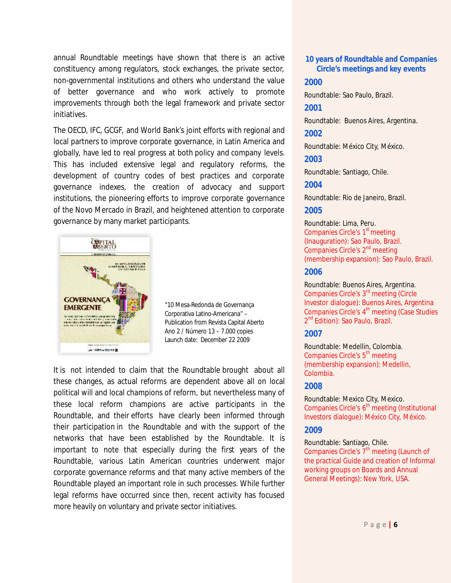annual Roundtable meetings have shown that there is an active constituency among regulators, stock exchanges, the private sector, non-governmental institutions and others who understand the value of better governance and who work actively to promote improvements through both the legal framework and private sector initiatives.

The OECD, IFC, GCGF, and World Bank's joint efforts with regional and local partners to improve corporate governance, in Latin America and globally, have led to real progress at both policy and company levels. This has included extensive legal and regulatory reforms, the development of country codes of best practices and corporate governance indexes, the creation of advocacy and support institutions, the pioneering efforts to improve corporate governance of the Novo Mercado in Brazil, and heightened attention to corporate governance by many market participants.



"10 Mesa-Redonda de Governança Corporativa Latino-Americana" – Publication from Revista Capital Aberto Ano 2 / Número 13 – 7.000 copies Launch date: December 22 2009

It is not intended to claim that the Roundtable brought about all these changes, as actual reforms are dependent above all on local political will and local champions of reform, but nevertheless many of these local reform champions are active participants in the Roundtable, and their efforts have clearly been informed through their participation in the Roundtable and with the support of the networks that have been established by the Roundtable. It is important to note that especially during the first years of the Roundtable, various Latin American countries underwent major corporate governance reforms and that many active members of the Roundtable played an important role in such processes. While further legal reforms have occurred since then, recent activity has focused more heavily on voluntary and private sector initiatives.

#### **10 years of Roundtable and Companies Circle's meetings and key events**

#### **2000**

Roundtable: Sao Paulo, Brazil.

**2001**

Roundtable: Buenos Aires, Argentina.

**2002**

Roundtable: México City, México.

**2003**

Roundtable: Santiago, Chile.

**2004**

Roundtable: Rio de Janeiro, Brazil.

#### **2005**

Roundtable: Lima, Peru. Companies Circle's 1<sup>st</sup> meeting (Inauguration): Sao Paulo, Brazil. Companies Circle's 2<sup>nd</sup> meeting (membership expansion): Sao Paulo, Brazil.

#### **2006**

Roundtable: Buenos Aires, Argentina. Companies Circle's 3<sup>rd</sup> meeting (Circle Investor dialogue): Buenos Aires, Argentina Companies Circle's 4<sup>th</sup> meeting (Case Studies 2<sup>nd</sup> Edition): Sao Paulo, Brazil.

#### **2007**

Roundtable: Medellin, Colombia. Companies Circle's 5<sup>th</sup> meeting (membership expansion): Medellin, Colombia.

#### **2008**

Roundtable: Mexico City, Mexico. Companies Circle's 6<sup>th</sup> meeting (Institutional Investors dialogue): México City, México.

#### **2009**

#### Roundtable: Santiago, Chile.

Companies Circle's 7<sup>th</sup> meeting (Launch of the practical Guide and creation of Informal working groups on Boards and Annual General Meetings): New York, USA.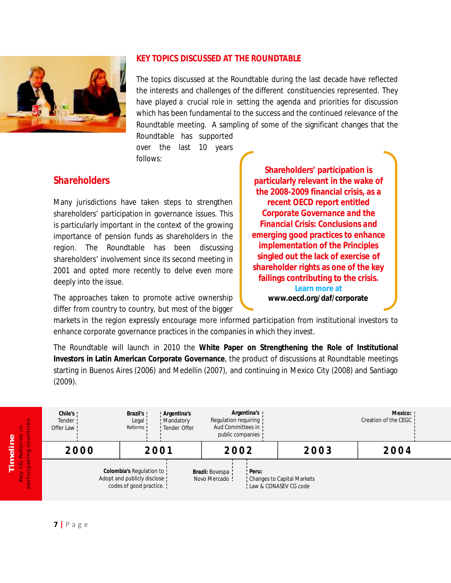

#### **KEY TOPICS DISCUSSED AT THE ROUNDTABLE**

The topics discussed at the Roundtable during the last decade have reflected the interests and challenges of the different constituencies represented. They have played a crucial role in setting the agenda and priorities for discussion which has been fundamental to the success and the continued relevance of the Roundtable meeting. A sampling of some of the significant changes that the

Roundtable has supported over the last 10 years follows:

## *Shareholders*

Many jurisdictions have taken steps to strengthen shareholders' participation in governance issues. This is particularly important in the context of the growing importance of pension funds as shareholders in the region. The Roundtable has been discussing shareholders' involvement since its second meeting in 2001 and opted more recently to delve even more deeply into the issue.

The approaches taken to promote active ownership differ from country to country, but most of the bigger

**Shareholders' participation is particularly relevant in the wake of the 2008-2009 financial crisis, as a recent OECD report entitled** *Corporate Governance and the Financial Crisis: Conclusions and emerging good practices to enhance implementation of the Principles* **singled out the lack of exercise of shareholder rights as one of the key failings contributing to the crisis. Learn more at www.oecd.org/daf/corporate**

markets in the region expressly encourage more informed participation from institutional investors to enhance corporate governance practices in the companies in which they invest.

The Roundtable will launch in 2010 the **White Paper on Strengthening the Role of Institutional Investors in Latin American Corporate Governance**, the product of discussions at Roundtable meetings starting in Buenos Aires (2006) and Medellin (2007), and continuing in Mexico City (2008) and Santiago (2009).

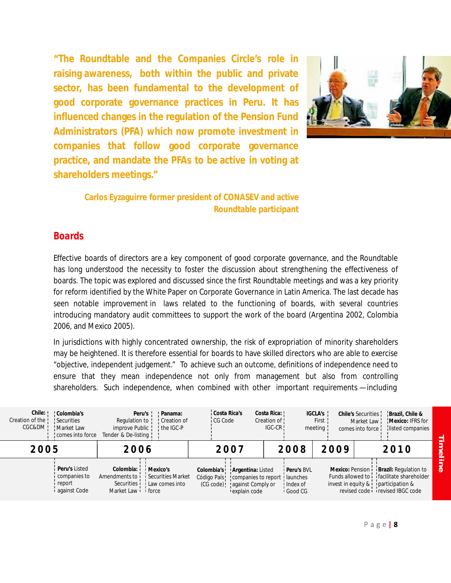**"The Roundtable and the Companies Circle's role in raising awareness, both within the public and private sector, has been fundamental to the development of good corporate governance practices in Peru. It has influenced changes in the regulation of the Pension Fund Administrators (PFA) which now promote investment in companies that follow good corporate governance practice, and mandate the PFAs to be active in voting at shareholders meetings."**



**Carlos Eyzaguirre former president of CONASEV and active Roundtable participant**

### *Boards*

Effective boards of directors are a key component of good corporate governance, and the Roundtable has long understood the necessity to foster the discussion about strengthening the effectiveness of boards. The topic was explored and discussed since the first Roundtable meetings and was a key priority for reform identified by the White Paper on Corporate Governance in Latin America. The last decade has seen notable improvement in laws related to the functioning of boards, with several countries introducing mandatory audit committees to support the work of the board (Argentina 2002, Colombia 2006, and Mexico 2005).

In jurisdictions with highly concentrated ownership, the risk of expropriation of minority shareholders may be heightened. It is therefore essential for boards to have skilled directors who are able to exercise "objective, independent judgement." To achieve such an outcome, definitions of independence need to ensure that they mean independence not only from management but also from controlling shareholders. Such independence, when combined with other important requirements —including

| Chile: Colombia's<br>Creation of the ! Securities<br>CGC&DM     Market Law | comes into force                                              | Regulation to !<br>improve Public ! the IGC-P<br>Tender & De-listing !                                                       | Peru's ! Panama:<br>Creation of | Costa Rica's<br>i CG Code |                                                                                                                                   | Costa Rica: !<br>Creation of !<br>$IGC-CR$ |                                                | IGCLA's<br>First !<br>meeting | comes into force: | Chile's Securities   Brazil, Chile &<br>Market Law   Mexico: IFRS for<br>listed companies                                                                             |               |
|----------------------------------------------------------------------------|---------------------------------------------------------------|------------------------------------------------------------------------------------------------------------------------------|---------------------------------|---------------------------|-----------------------------------------------------------------------------------------------------------------------------------|--------------------------------------------|------------------------------------------------|-------------------------------|-------------------|-----------------------------------------------------------------------------------------------------------------------------------------------------------------------|---------------|
| 2005                                                                       |                                                               | 2006                                                                                                                         |                                 | 2007                      |                                                                                                                                   | 2008                                       |                                                | 2009                          |                   | 2010                                                                                                                                                                  | 3<br>$\sigma$ |
|                                                                            | Peru's Listed<br>i companies to<br>i report<br>i against Code | Colombia: <i>i</i> Mexico's<br>Amendments to <i>i</i> Securities Market<br>Securities   Law comes into<br>Market Law i force |                                 |                           | Colombia's   Argentina: Listed<br>Código País! : companies to report : launches<br>(CG code) ! against Comply or<br>Lexplain code |                                            | <i>i</i> Peru's BVL<br>! Index of<br>I Good CG |                               |                   | Mexico: Pension i Brazil: Regulation to<br>Funds allowed to infacilitate shareholder<br>invest in equity & participation &<br>revised code <i>i</i> revised IBGC code | $\sigma$      |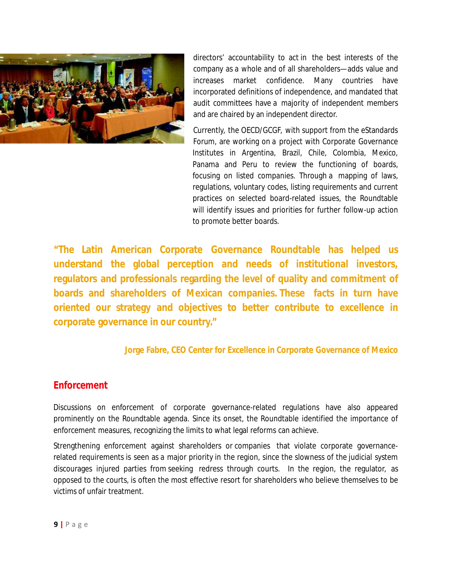

directors' accountability to act in the best interests of the company as a whole and of all shareholders—adds value and increases market confidence. Many countries have incorporated definitions of independence, and mandated that audit committees have a majority of independent members and are chaired by an independent director.

Currently, the OECD/GCGF, with support from the eStandards Forum, are working on a project with Corporate Governance Institutes in Argentina, Brazil, Chile, Colombia, Mexico, Panama and Peru to review the functioning of boards, focusing on listed companies. Through a mapping of laws, regulations, voluntary codes, listing requirements and current practices on selected board-related issues, the Roundtable will identify issues and priorities for further follow-up action to promote better boards.

**"The Latin American Corporate Governance Roundtable has helped us understand the global perception and needs of institutional investors, regulators and professionals regarding the level of quality and commitment of boards and shareholders of Mexican companies. These facts in turn have oriented our strategy and objectives to better contribute to excellence in corporate governance in our country."**

**Jorge Fabre, CEO Center for Excellence in Corporate Governance of Mexico**

## *Enforcement*

Discussions on enforcement of corporate governance-related regulations have also appeared prominently on the Roundtable agenda. Since its onset, the Roundtable identified the importance of enforcement measures, recognizing the limits to what legal reforms can achieve.

Strengthening enforcement against shareholders or companies that violate corporate governancerelated requirements is seen as a major priority in the region, since the slowness of the judicial system discourages injured parties from seeking redress through courts. In the region, the regulator, as opposed to the courts, is often the most effective resort for shareholders who believe themselves to be victims of unfair treatment.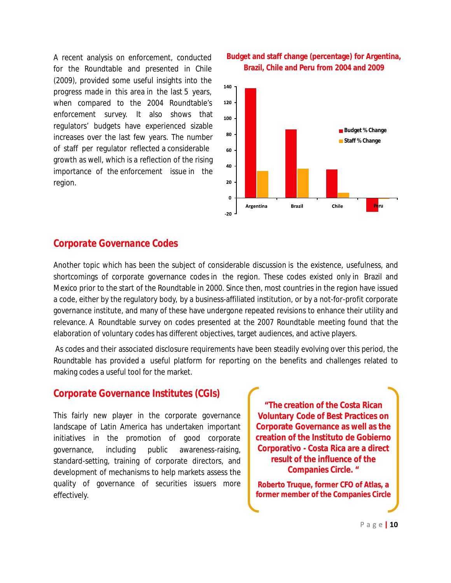A recent analysis on enforcement, conducted for the Roundtable and presented in Chile (2009), provided some useful insights into the progress made in this area in the last 5 years, when compared to the 2004 Roundtable's enforcement survey. It also shows that regulators' budgets have experienced sizable increases over the last few years. The number of staff per regulator reflected a considerable growth as well, which is a reflection of the rising importance of the enforcement issue in the region.





## *Corporate Governance Codes*

Another topic which has been the subject of considerable discussion is the existence, usefulness, and shortcomings of corporate governance codes in the region. These codes existed only in Brazil and Mexico prior to the start of the Roundtable in 2000. Since then, most countries in the region have issued a code, either by the regulatory body, by a business-affiliated institution, or by a not-for-profit corporate governance institute, and many of these have undergone repeated revisions to enhance their utility and relevance. A Roundtable survey on codes presented at the 2007 Roundtable meeting found that the elaboration of voluntary codes has different objectives, target audiences, and active players.

As codes and their associated disclosure requirements have been steadily evolving over this period, the Roundtable has provided a useful platform for reporting on the benefits and challenges related to making codes a useful tool for the market.

## *Corporate Governance Institutes (CGIs)*

This fairly new player in the corporate governance landscape of Latin America has undertaken important initiatives in the promotion of good corporate governance, including public awareness-raising, standard-setting, training of corporate directors, and development of mechanisms to help markets assess the quality of governance of securities issuers more effectively.

**"The creation of the Costa Rican Voluntary Code of Best Practices on Corporate Governance as well as the creation of the Instituto de Gobierno Corporativo - Costa Rica are a direct result of the influence of the Companies Circle. "**

**Roberto Truque, former CFO of Atlas, a former member of the Companies Circle**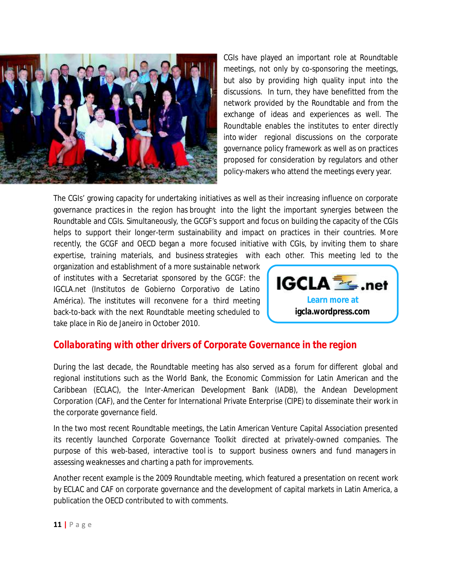

CGIs have played an important role at Roundtable meetings, not only by co-sponsoring the meetings, but also by providing high quality input into the discussions. In turn, they have benefitted from the network provided by the Roundtable and from the exchange of ideas and experiences as well. The Roundtable enables the institutes to enter directly into wider regional discussions on the corporate governance policy framework as well as on practices proposed for consideration by regulators and other policy-makers who attend the meetings every year.

The CGIs' growing capacity for undertaking initiatives as well as their increasing influence on corporate governance practices in the region has brought into the light the important synergies between the Roundtable and CGIs. Simultaneously, the GCGF's support and focus on building the capacity of the CGIs helps to support their longer-term sustainability and impact on practices in their countries. More recently, the GCGF and OECD began a more focused initiative with CGIs, by inviting them to share expertise, training materials, and business strategies with each other. This meeting led to the

organization and establishment of a more sustainable network of institutes with a Secretariat sponsored by the GCGF: the IGCLA.net (Institutos de Gobierno Corporativo de Latino América). The institutes will reconvene for a third meeting back-to-back with the next Roundtable meeting scheduled to take place in Rio de Janeiro in October 2010.



## *Collaborating with other drivers of Corporate Governance in the region*

During the last decade, the Roundtable meeting has also served as a forum for different global and regional institutions such as the World Bank, the Economic Commission for Latin American and the Caribbean (ECLAC), the Inter-American Development Bank (IADB), the Andean Development Corporation (CAF), and the Center for International Private Enterprise (CIPE) to disseminate their work in the corporate governance field.

In the two most recent Roundtable meetings, the Latin American Venture Capital Association presented its recently launched Corporate Governance Toolkit directed at privately-owned companies. The purpose of this web-based, interactive tool is to support business owners and fund managers in assessing weaknesses and charting a path for improvements.

Another recent example is the 2009 Roundtable meeting, which featured a presentation on recent work by ECLAC and CAF on corporate governance and the development of capital markets in Latin America, a publication the OECD contributed to with comments.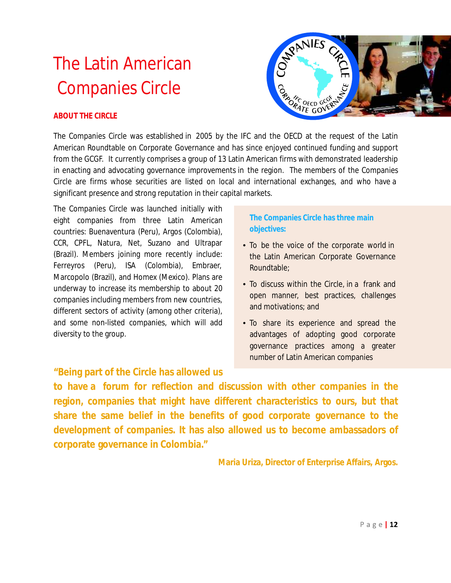# The Latin American Companies Circle



#### **ABOUT THE CIRCLE**

The Companies Circle was established in 2005 by the IFC and the OECD at the request of the Latin American Roundtable on Corporate Governance and has since enjoyed continued funding and support from the GCGF. It currently comprises a group of 13 Latin American firms with demonstrated leadership in enacting and advocating governance improvements in the region. The members of the Companies Circle are firms whose securities are listed on local and international exchanges, and who have a significant presence and strong reputation in their capital markets.

The Companies Circle was launched initially with eight companies from three Latin American countries: Buenaventura (Peru), Argos (Colombia), CCR, CPFL, Natura, Net, Suzano and Ultrapar (Brazil). Members joining more recently include: Ferreyros (Peru), ISA (Colombia), Embraer, Marcopolo (Brazil), and Homex (Mexico). Plans are underway to increase its membership to about 20 companies including members from new countries, different sectors of activity (among other criteria), and some non-listed companies, which will add diversity to the group.

### **The Companies Circle has three main objectives:**

- To be the voice of the corporate world in the Latin American Corporate Governance Roundtable;
- To discuss within the Circle, in a frank and open manner, best practices, challenges and motivations; and
- To share its experience and spread the advantages of adopting good corporate governance practices among a greater number of Latin American companies

## **"Being part of the Circle has allowed us**

**to have a forum for reflection and discussion with other companies in the region, companies that might have different characteristics to ours, but that share the same belief in the benefits of good corporate governance to the development of companies. It has also allowed us to become ambassadors of corporate governance in Colombia."**

**Maria Uriza, Director of Enterprise Affairs, Argos.**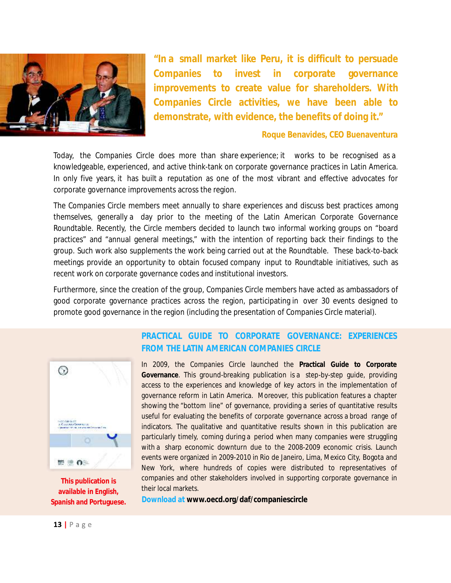

**"In a small market like Peru, it is difficult to persuade Companies to invest in corporate governance improvements to create value for shareholders. With Companies Circle activities, we have been able to demonstrate, with evidence, the benefits of doing it."**

#### **Roque Benavides, CEO Buenaventura**

Today, the Companies Circle does more than share experience; it works to be recognised as a knowledgeable, experienced, and active think-tank on corporate governance practices in Latin America. In only five years, it has built a reputation as one of the most vibrant and effective advocates for corporate governance improvements across the region.

The Companies Circle members meet annually to share experiences and discuss best practices among themselves, generally a day prior to the meeting of the Latin American Corporate Governance Roundtable. Recently, the Circle members decided to launch two informal working groups on "board practices" and "annual general meetings," with the intention of reporting back their findings to the group. Such work also supplements the work being carried out at the Roundtable. These back-to-back meetings provide an opportunity to obtain focused company input to Roundtable initiatives, such as recent work on corporate governance codes and institutional investors.

Furthermore, since the creation of the group, Companies Circle members have acted as ambassadors of good corporate governance practices across the region, participating in over 30 events designed to promote good governance in the region (including the presentation of Companies Circle material).



**This publication is available in English, Spanish and Portuguese.**

### **PRACTICAL GUIDE TO CORPORATE GOVERNANCE: EXPERIENCES FROM THE LATIN AMERICAN COMPANIES CIRCLE**

In 2009, the Companies Circle launched the **Practical Guide to Corporate Governance**. This ground-breaking publication is a step-by-step guide, providing access to the experiences and knowledge of key actors in the implementation of governance reform in Latin America. Moreover, this publication features a chapter showing the "bottom line" of governance, providing a series of quantitative results useful for evaluating the benefits of corporate governance across a broad range of indicators. The qualitative and quantitative results shown in this publication are particularly timely, coming during a period when many companies were struggling with a sharp economic downturn due to the 2008-2009 economic crisis. Launch events were organized in 2009-2010 in Rio de Janeiro, Lima, Mexico City, Bogota and New York, where hundreds of copies were distributed to representatives of companies and other stakeholders involved in supporting corporate governance in their local markets.

**Download at www.oecd.org/daf/companiescircle**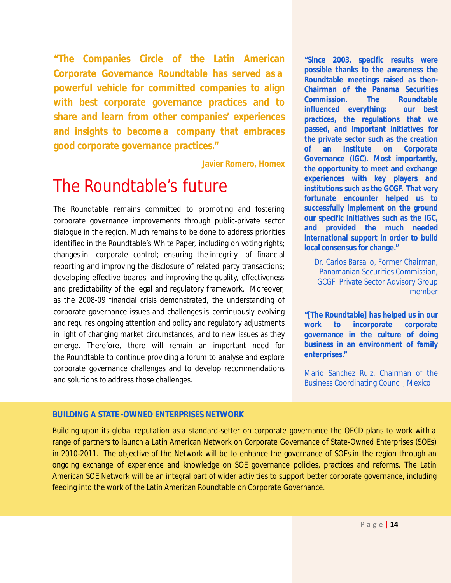**"The Companies Circle of the Latin American Corporate Governance Roundtable has served as a powerful vehicle for committed companies to align with best corporate governance practices and to share and learn from other companies' experiences and insights to become a company that embraces good corporate governance practices."**

**Javier Romero, Homex**

## The Roundtable's future

The Roundtable remains committed to promoting and fostering corporate governance improvements through public-private sector dialogue in the region. Much remains to be done to address priorities identified in the Roundtable's White Paper, including on voting rights; changes in corporate control; ensuring the integrity of financial reporting and improving the disclosure of related party transactions; developing effective boards; and improving the quality, effectiveness and predictability of the legal and regulatory framework. Moreover, as the 2008-09 financial crisis demonstrated, the understanding of corporate governance issues and challenges is continuously evolving and requires ongoing attention and policy and regulatory adjustments in light of changing market circumstances, and to new issues as they emerge. Therefore, there will remain an important need for the Roundtable to continue providing a forum to analyse and explore corporate governance challenges and to develop recommendations and solutions to address those challenges.

**"Since 2003, specific results were possible thanks to the awareness the Roundtable meetings raised as then-Chairman of the Panama Securities Commission. The Roundtable influenced everything: our best practices, the regulations that we passed, and important initiatives for the private sector such as the creation of an Institute on Corporate Governance (IGC). Most importantly, the opportunity to meet and exchange experiences with key players and institutions such as the GCGF. That very fortunate encounter helped us to successfully implement on the ground our specific initiatives such as the IGC, and provided the much needed international support in order to build local consensus for change."**

Dr. Carlos Barsallo, Former Chairman, Panamanian Securities Commission, GCGF Private Sector Advisory Group member

**"[The Roundtable] has helped us in our work to incorporate corporate governance in the culture of doing business in an environment of family enterprises."**

Mario Sanchez Ruiz, Chairman of the Business Coordinating Council, Mexico

## **BUILDING A STATE -OWNED ENTERPRISES NETWORK**

Building upon its global reputation as a standard-setter on corporate governance the OECD plans to work with a range of partners to launch a Latin American Network on Corporate Governance of State-Owned Enterprises (SOEs) in 2010-2011. The objective of the Network will be to enhance the governance of SOEs in the region through an ongoing exchange of experience and knowledge on SOE governance policies, practices and reforms. The Latin American SOE Network will be an integral part of wider activities to support better corporate governance, including feeding into the work of the Latin American Roundtable on Corporate Governance.